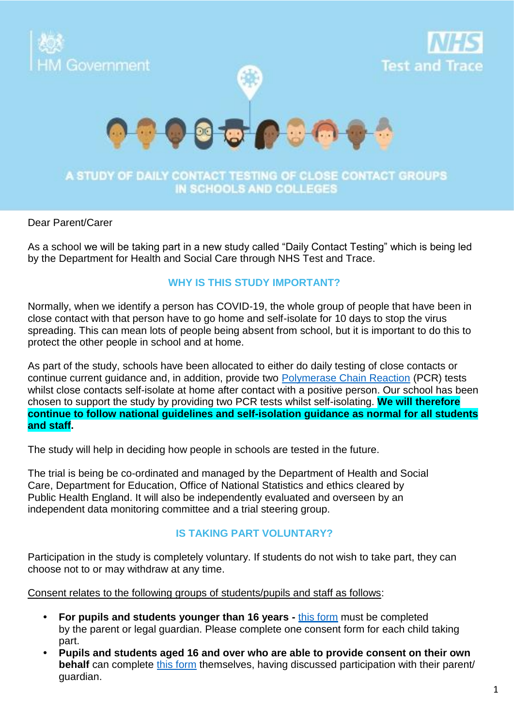

## IN SCHOOLS AND COLLEGES

#### Dear Parent/Carer

As a school we will be taking part in a new study called "Daily Contact Testing" which is being led by the Department for Health and Social Care through NHS Test and Trace.

### **WHY IS THIS STUDY IMPORTANT?**

Normally, when we identify a person has COVID-19, the whole group of people that have been in close contact with that person have to go home and self-isolate for 10 days to stop the virus spreading. This can mean lots of people being absent from school, but it is important to do this to protect the other people in school and at home.

As part of the study, schools have been allocated to either do daily testing of close contacts or continue current guidance and, in addition, provide two [Polymerase Chain Reaction](https://www.gov.uk/getting-tested-for-coronavirus) (PCR) tests whilst close contacts self-isolate at home after contact with a positive person. Our school has been chosen to support the study by providing two PCR tests whilst self-isolating. **We will therefore continue to follow national guidelines and self-isolation guidance as normal for all students and staff.**

The study will help in deciding how people in schools are tested in the future.

The trial is being be co-ordinated and managed by the Department of Health and Social Care, Department for Education, Office of National Statistics and ethics cleared by Public Health England. It will also be independently evaluated and overseen by an independent data monitoring committee and a trial steering group.

#### **IS TAKING PART VOLUNTARY?**

Participation in the study is completely voluntary. If students do not wish to take part, they can choose not to or may withdraw at any time.

Consent relates to the following groups of students/pupils and staff as follows:

- **• For pupils and students younger than 16 years -** [this form](https://forms.office.com/Pages/ResponsePage.aspx?id=h4JaFYDSiky-6glrnTAOBhbVGSkW34RIgrKjl0BYkC1UMTJUNzRSS1A2OE8xTjFESUNWRkQzSk1CSy4u) must be completed by the parent or legal guardian. Please complete one consent form for each child taking part.
- **• Pupils and students aged 16 and over who are able to provide consent on their own behalf** can complete [this form](https://forms.office.com/Pages/ResponsePage.aspx?id=h4JaFYDSiky-6glrnTAOBhbVGSkW34RIgrKjl0BYkC1UQlZDN0hEN1pQSjc5UEVHQUo5WTU0WVFUSy4u) themselves, having discussed participation with their parent/ guardian.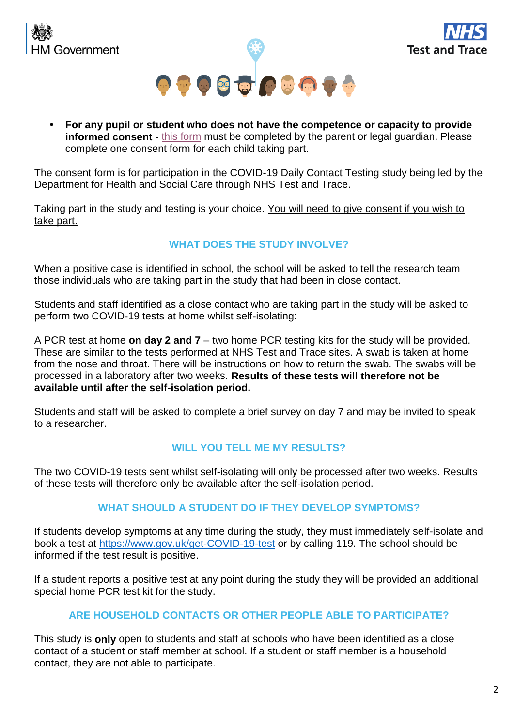





**• For any pupil or student who does not have the competence or capacity to provide in[form](https://forms.office.com/Pages/ResponsePage.aspx?id=h4JaFYDSiky-6glrnTAOBhbVGSkW34RIgrKjl0BYkC1UOVpPVzlIM0VaUVg4QVpaMTE0VlExRjVFUi4u)ed consent -** this form must be completed by the parent or legal guardian. Please complete one consent form for each child taking part.

The consent form is for participation in the COVID-19 Daily Contact Testing study being led by the Department for Health and Social Care through NHS Test and Trace.

Taking part in the study and testing is your choice. You will need to give consent if you wish to take part.

# **WHAT DOES THE STUDY INVOLVE?**

When a positive case is identified in school, the school will be asked to tell the research team those individuals who are taking part in the study that had been in close contact.

Students and staff identified as a close contact who are taking part in the study will be asked to perform two COVID-19 tests at home whilst self-isolating:

A PCR test at home **on day 2 and 7** – two home PCR testing kits for the study will be provided. These are similar to the tests performed at NHS Test and Trace sites. A swab is taken at home from the nose and throat. There will be instructions on how to return the swab. The swabs will be processed in a laboratory after two weeks. **Results of these tests will therefore not be available until after the self-isolation period.**

Students and staff will be asked to complete a brief survey on day 7 and may be invited to speak to a researcher.

# **WILL YOU TELL ME MY RESULTS?**

The two COVID-19 tests sent whilst self-isolating will only be processed after two weeks. Results of these tests will therefore only be available after the self-isolation period.

## **WHAT SHOULD A STUDENT DO IF THEY DEVELOP SYMPTOMS?**

If students develop symptoms at any time during the study, they must immediately self-isolate and book a test at [https://www.gov.uk/get-COVID-19-test](https://www.gov.uk/get-coronavirus-test) or by calling 119. The school should be informed if the test result is positive.

If a student reports a positive test at any point during the study they will be provided an additional special home PCR test kit for the study.

## **ARE HOUSEHOLD CONTACTS OR OTHER PEOPLE ABLE TO PARTICIPATE?**

This study is **only** open to students and staff at schools who have been identified as a close contact of a student or staff member at school. If a student or staff member is a household contact, they are not able to participate.